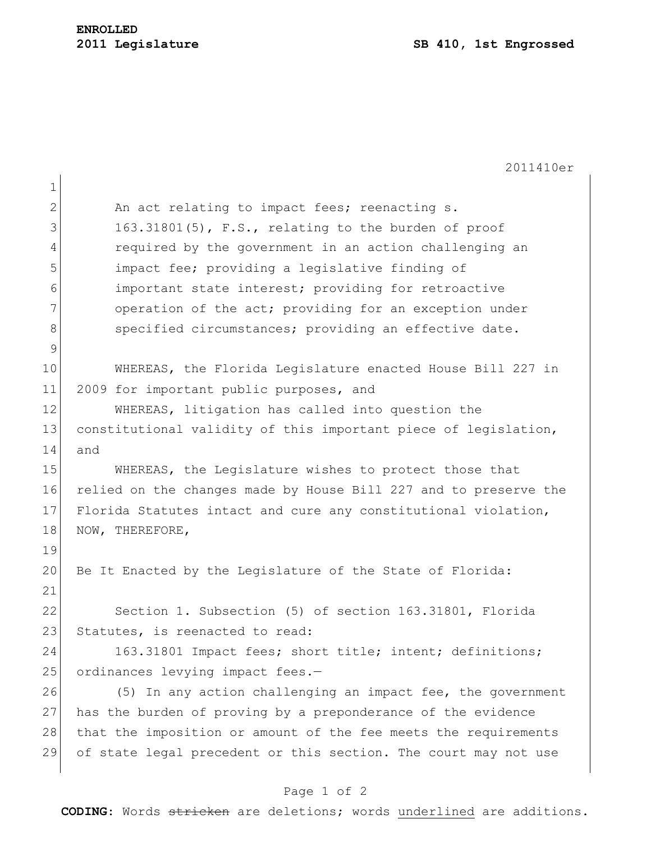2011410er 1 2 An act relating to impact fees; reenacting s.  $3$  163.31801(5), F.S., relating to the burden of proof 4 required by the government in an action challenging an 5 impact fee; providing a legislative finding of 6 important state interest; providing for retroactive 7 operation of the act; providing for an exception under 8 specified circumstances; providing an effective date. 9 10 WHEREAS, the Florida Legislature enacted House Bill 227 in 11 2009 for important public purposes, and 12 WHEREAS, litigation has called into question the 13 constitutional validity of this important piece of legislation, 14 and 15 WHEREAS, the Legislature wishes to protect those that 16 relied on the changes made by House Bill 227 and to preserve the 17 Florida Statutes intact and cure any constitutional violation, 18 NOW, THEREFORE, 19 20 Be It Enacted by the Legislature of the State of Florida: 21 22 Section 1. Subsection (5) of section 163.31801, Florida 23 Statutes, is reenacted to read: 24 163.31801 Impact fees; short title; intent; definitions; 25 ordinances levying impact fees.-26 (5) In any action challenging an impact fee, the government 27 has the burden of proving by a preponderance of the evidence 28 that the imposition or amount of the fee meets the requirements 29 of state legal precedent or this section. The court may not use

## Page 1 of 2

**CODING**: Words stricken are deletions; words underlined are additions.